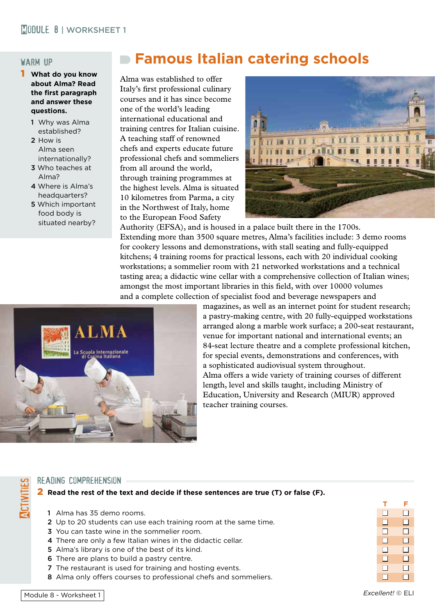## warm up

- 1 **What do you know about Alma? Read the first paragraph and answer these questions.**
	- 1 Why was Alma established?
	- 2 How is Alma seen internationally?
	- 3 Who teaches at Alma?
	- 4 Where is Alma's headquarters?
	- 5 Which important food body is situated nearby?

# **Famous Italian catering schools**

Alma was established to offer Italy's first professional culinary courses and it has since become one of the world's leading international educational and training centres for Italian cuisine. A teaching staff of renowned chefs and experts educate future professional chefs and sommeliers from all around the world, through training programmes at the highest levels. Alma is situated 10 kilometres from Parma, a city in the Northwest of Italy, home to the European Food Safety



Authority (EFSA), and is housed in a palace built there in the 1700s. Extending more than 3500 square metres, Alma's facilities include: 3 demo rooms for cookery lessons and demonstrations, with stall seating and fully-equipped kitchens; 4 training rooms for practical lessons, each with 20 individual cooking workstations; a sommelier room with 21 networked workstations and a technical tasting area; a didactic wine cellar with a comprehensive collection of Italian wines; amongst the most important libraries in this field, with over 10000 volumes and a complete collection of specialist food and beverage newspapers and



magazines, as well as an internet point for student research; a pastry-making centre, with 20 fully-equipped workstations arranged along a marble work surface; a 200-seat restaurant, venue for important national and international events; an 84-seat lecture theatre and a complete professional kitchen, for special events, demonstrations and conferences, with a sophisticated audiovisual system throughout. Alma offers a wide variety of training courses of different length, level and skills taught, including Ministry of Education, University and Research (MIUR) approved teacher training courses.

## READING COMPREHENSION *automorroumancementalismentalismentalismentalismentalism*

2 **Read the rest of the text and decide if these sentences are true (T) or false (F).**

- 1 Alma has 35 demo rooms. n n
- 2 Up to 20 students can use each training room at the same time.
- 3 You can taste wine in the sommelier room. n n
- 4 There are only a few Italian wines in the didactic cellar. n n
- 5 Alma's library is one of the best of its kind. n n
- 6 There are plans to build a pastry centre. n n
- **7** The restaurant is used for training and hosting events.  $\Box$   $\Box$
- 8 Alma only offers courses to professional chefs and sommeliers.

**Activities**